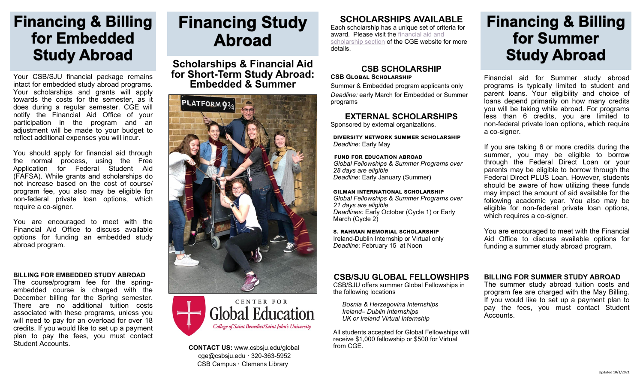## **Financing & Billing** for Embedded **Study Abroad**

Your CSB/SJU financial package remains intact for embedded study abroad programs. Your scholarships and grants will apply towards the costs for the semester, as it does during a regular semester. CGE will notify the Financial Aid Office of your participation in the program and an adjustment will be made to your budget to reflect additional expenses you will incur.

You should apply for financial aid through the normal process, using the Free Application for Federal Student Aid (FAFSA). While grants and scholarships do not increase based on the cost of course/ program fee, you also may be eligible for non-federal private loan options, which require a co-signer.

You are encouraged to meet with the Financial Aid Office to discuss available options for funding an embedded study abroad program.

#### **BILLING FOR EMBEDDED STUDY ABROAD**

The course/program fee for the springembedded course is charged with the December billing for the Spring semester. There are no additional tuition costs associated with these programs, unless you will need to pay for an overload for over 18 credits. If you would like to set up a payment plan to pay the fees, you must contact Student Accounts.

# **Financing Study Abroad**

**Scholarships & Financial Aid for Short-Term Study Abroad: Embedded & Summer** 





**CONTACT US:** www.csbsju.edu/global from CGE. cge@csbsju.edu **·** 320-363-5952 CSB Campus **·** Clemens Library

### **SCHOLARSHIPS AVAILABLE**

Each scholarship has a unique set of criteria for award. Please visit the [financial aid and](https://www.csbsju.edu/global/financing-study-abroad/scholarships-for-study-abroad)  [scholarship section](https://www.csbsju.edu/global/financing-study-abroad/scholarships-for-study-abroad) of the CGE website for more details.

#### **CSB SCHOLARSHIP CSB Global Scholarship**

Summer & Embedded program applicants only *Deadline:* early March for Embedded or Summer programs

**EXTERNAL SCHOLARSHIPS** Sponsored by external organizations.

**diversity network summer scholarship**  *Deadline:* Early May

 **fund for education abroad** *Global Fellowships & Summer Programs over 28 days are eligible Deadline:* Early January (Summer)

**gilman international scholarship**  *Global Fellowships & Summer Programs over 21 days are eligible Deadlines:* Early October (Cycle 1) or Early March (Cycle 2)

**s. rahman memorial scholarship**  Ireland-Dublin Internship or Virtual only *Deadline:* February 15 at Noon

### **CSB/SJU GLOBAL FELLOWSHIPS**

CSB/SJU offers summer Global Fellowships in the following locations

*Bosnia & Herzegovina Internships Ireland– Dublin Internships UK or Ireland Virtual Internship*

All students accepted for Global Fellowships will receive \$1,000 fellowship or \$500 for Virtual

## **Financing & Billing** for Summer **Study Abroad**

Financial aid for Summer study abroad programs is typically limited to student and parent loans. Your eligibility and choice of loans depend primarily on how many credits you will be taking while abroad. For programs less than 6 credits, you are limited to non-federal private loan options, which require a co-signer.

If you are taking 6 or more credits during the summer, you may be eligible to borrow through the Federal Direct Loan or your parents may be eligible to borrow through the Federal Direct PLUS Loan. However, students should be aware of how utilizing these funds may impact the amount of aid available for the following academic year. You also may be eligible for non-federal private loan options, which requires a co-signer.

You are encouraged to meet with the Financial Aid Office to discuss available options for funding a summer study abroad program.

#### **BILLING FOR SUMMER STUDY ABROAD**

The summer study abroad tuition costs and program fee are charged with the May Billing. If you would like to set up a payment plan to pay the fees, you must contact Student Accounts.